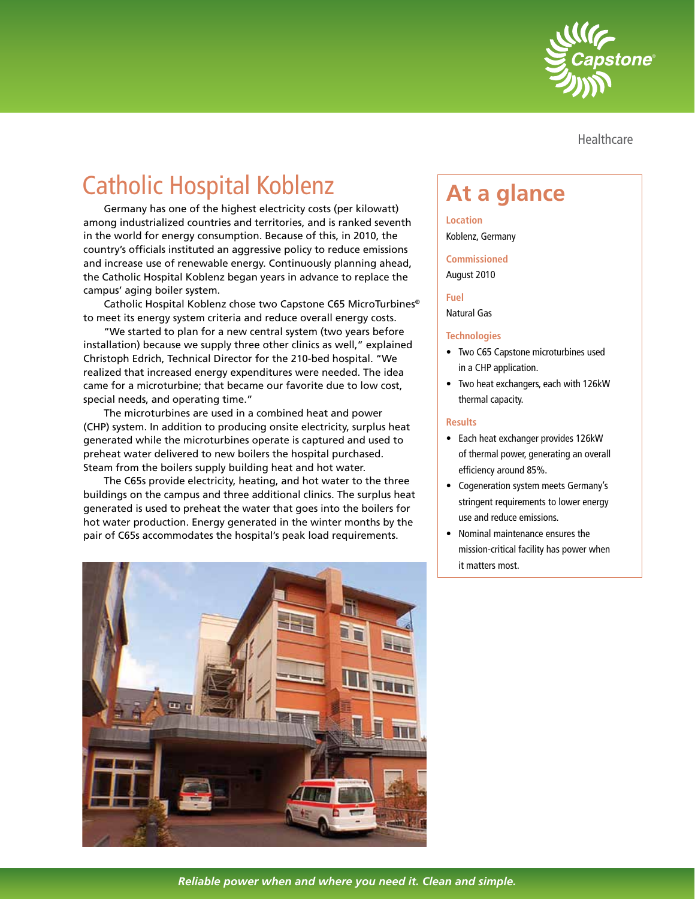

Healthcare

## **Catholic Hospital Koblenz Theore At a glance**

Germany has one of the highest electricity costs (per kilowatt) among industrialized countries and territories, and is ranked seventh in the world for energy consumption. Because of this, in 2010, the country's officials instituted an aggressive policy to reduce emissions and increase use of renewable energy. Continuously planning ahead, the Catholic Hospital Koblenz began years in advance to replace the campus' aging boiler system.

Catholic Hospital Koblenz chose two Capstone C65 MicroTurbines® to meet its energy system criteria and reduce overall energy costs.

"We started to plan for a new central system (two years before installation) because we supply three other clinics as well," explained Christoph Edrich, Technical Director for the 210-bed hospital. "We realized that increased energy expenditures were needed. The idea came for a microturbine; that became our favorite due to low cost, special needs, and operating time."

The microturbines are used in a combined heat and power (CHP) system. In addition to producing onsite electricity, surplus heat generated while the microturbines operate is captured and used to preheat water delivered to new boilers the hospital purchased. Steam from the boilers supply building heat and hot water.

The C65s provide electricity, heating, and hot water to the three buildings on the campus and three additional clinics. The surplus heat generated is used to preheat the water that goes into the boilers for hot water production. Energy generated in the winter months by the pair of C65s accommodates the hospital's peak load requirements.



**Location**

Koblenz, Germany

**Commissioned**

August 2010

**Fuel**

Natural Gas

## **Technologies**

- Two C65 Capstone microturbines used in a CHP application.
- Two heat exchangers, each with 126kW thermal capacity.

## **Results**

- Each heat exchanger provides 126kW of thermal power, generating an overall efficiency around 85%.
- Cogeneration system meets Germany's stringent requirements to lower energy use and reduce emissions.
- Nominal maintenance ensures the mission-critical facility has power when it matters most.

*Reliable power when and where you need it. Clean and simple.*